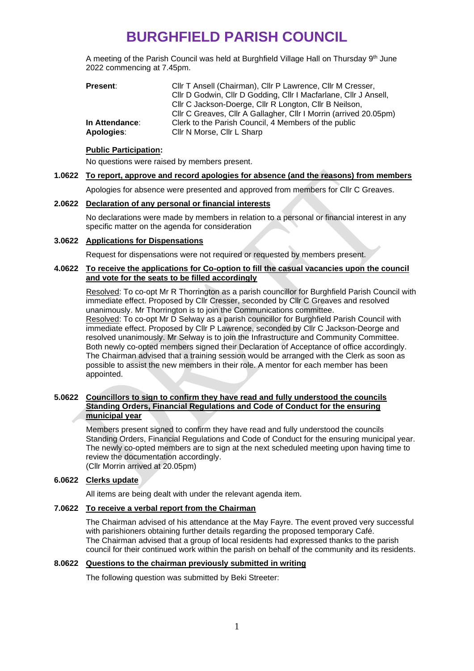# **BURGHFIELD PARISH COUNCIL**

A meeting of the Parish Council was held at Burghfield Village Hall on Thursday 9<sup>th</sup> June 2022 commencing at 7.45pm.

| Present:       | Cllr T Ansell (Chairman), Cllr P Lawrence, Cllr M Cresser,        |
|----------------|-------------------------------------------------------------------|
|                | Cllr D Godwin, Cllr D Godding, Cllr I Macfarlane, Cllr J Ansell,  |
|                | Cllr C Jackson-Doerge, Cllr R Longton, Cllr B Neilson,            |
|                | Cllr C Greaves, Cllr A Gallagher, Cllr I Morrin (arrived 20.05pm) |
| In Attendance: | Clerk to the Parish Council, 4 Members of the public              |
| Apologies:     | Cllr N Morse, Cllr L Sharp                                        |

#### **Public Participation:**

No questions were raised by members present.

## **1.0622 To report, approve and record apologies for absence (and the reasons) from members**

Apologies for absence were presented and approved from members for Cllr C Greaves.

## **2.0622 Declaration of any personal or financial interests**

No declarations were made by members in relation to a personal or financial interest in any specific matter on the agenda for consideration

## **3.0622 Applications for Dispensations**

Request for dispensations were not required or requested by members present.

## **4.0622 To receive the applications for Co-option to fill the casual vacancies upon the council and vote for the seats to be filled accordingly**

Resolved: To co-opt Mr R Thorrington as a parish councillor for Burghfield Parish Council with immediate effect. Proposed by Cllr Cresser, seconded by Cllr C Greaves and resolved unanimously. Mr Thorrington is to join the Communications committee. Resolved: To co-opt Mr D Selway as a parish councillor for Burghfield Parish Council with immediate effect. Proposed by Cllr P Lawrence, seconded by Cllr C Jackson-Deorge and resolved unanimously. Mr Selway is to join the Infrastructure and Community Committee. Both newly co-opted members signed their Declaration of Acceptance of office accordingly. The Chairman advised that a training session would be arranged with the Clerk as soon as possible to assist the new members in their role. A mentor for each member has been appointed.

#### **5.0622 Councillors to sign to confirm they have read and fully understood the councils Standing Orders, Financial Regulations and Code of Conduct for the ensuring municipal year**

Members present signed to confirm they have read and fully understood the councils Standing Orders, Financial Regulations and Code of Conduct for the ensuring municipal year. The newly co-opted members are to sign at the next scheduled meeting upon having time to review the documentation accordingly. (Cllr Morrin arrived at 20.05pm)

## **6.0622 Clerks update**

All items are being dealt with under the relevant agenda item.

## **7.0622 To receive a verbal report from the Chairman**

The Chairman advised of his attendance at the May Fayre. The event proved very successful with parishioners obtaining further details regarding the proposed temporary Café. The Chairman advised that a group of local residents had expressed thanks to the parish council for their continued work within the parish on behalf of the community and its residents.

## **8.0622 Questions to the chairman previously submitted in writing**

The following question was submitted by Beki Streeter: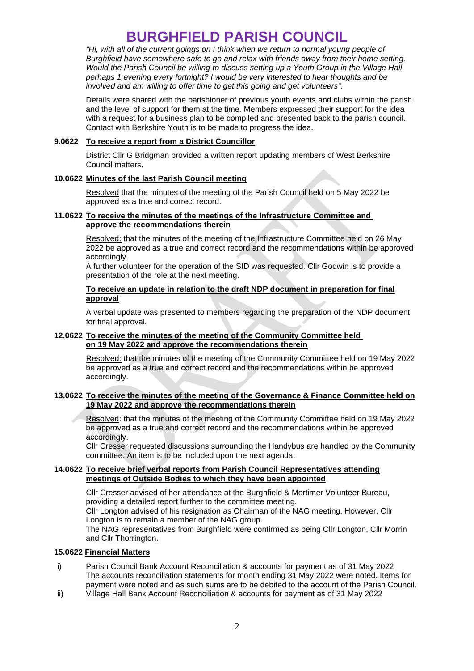# **BURGHFIELD PARISH COUNCIL**

*"Hi, with all of the current goings on I think when we return to normal young people of Burghfield have somewhere safe to go and relax with friends away from their home setting. Would the Parish Council be willing to discuss setting up a Youth Group in the Village Hall perhaps 1 evening every fortnight? I would be very interested to hear thoughts and be involved and am willing to offer time to get this going and get volunteers".* 

Details were shared with the parishioner of previous youth events and clubs within the parish and the level of support for them at the time. Members expressed their support for the idea with a request for a business plan to be compiled and presented back to the parish council. Contact with Berkshire Youth is to be made to progress the idea.

#### **9.0622 To receive a report from a District Councillor**

District Cllr G Bridgman provided a written report updating members of West Berkshire Council matters.

#### **10.0622 Minutes of the last Parish Council meeting**

Resolved that the minutes of the meeting of the Parish Council held on 5 May 2022 be approved as a true and correct record.

## **11.0622 To receive the minutes of the meetings of the Infrastructure Committee and approve the recommendations therein**

Resolved: that the minutes of the meeting of the Infrastructure Committee held on 26 May 2022 be approved as a true and correct record and the recommendations within be approved accordingly.

A further volunteer for the operation of the SID was requested. Cllr Godwin is to provide a presentation of the role at the next meeting.

## **To receive an update in relation to the draft NDP document in preparation for final approval**

A verbal update was presented to members regarding the preparation of the NDP document for final approval.

#### **12.0622 To receive the minutes of the meeting of the Community Committee held on 19 May 2022 and approve the recommendations therein**

Resolved: that the minutes of the meeting of the Community Committee held on 19 May 2022 be approved as a true and correct record and the recommendations within be approved accordingly.

#### **13.0622 To receive the minutes of the meeting of the Governance & Finance Committee held on 19 May 2022 and approve the recommendations therein**

Resolved: that the minutes of the meeting of the Community Committee held on 19 May 2022 be approved as a true and correct record and the recommendations within be approved accordingly.

Cllr Cresser requested discussions surrounding the Handybus are handled by the Community committee. An item is to be included upon the next agenda.

#### **14.0622 To receive brief verbal reports from Parish Council Representatives attending meetings of Outside Bodies to which they have been appointed**

Cllr Cresser advised of her attendance at the Burghfield & Mortimer Volunteer Bureau, providing a detailed report further to the committee meeting. Cllr Longton advised of his resignation as Chairman of the NAG meeting. However, Cllr Longton is to remain a member of the NAG group.

The NAG representatives from Burghfield were confirmed as being Cllr Longton, Cllr Morrin and Cllr Thorrington.

#### **15.0622 Financial Matters**

- i) Parish Council Bank Account Reconciliation & accounts for payment as of 31 May 2022 The accounts reconciliation statements for month ending 31 May 2022 were noted. Items for payment were noted and as such sums are to be debited to the account of the Parish Council.
- ii) Village Hall Bank Account Reconciliation & accounts for payment as of 31 May 2022